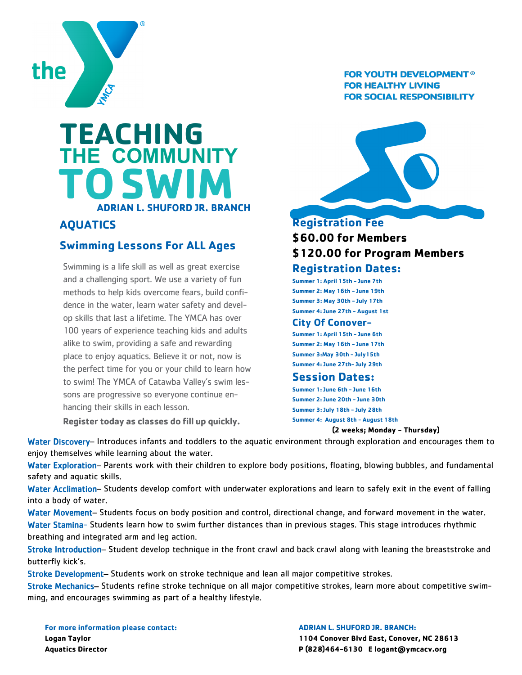

**TO**

**AQUATICS**

**TEACHING**

**THE COMMUNITY**

**Swimming Lessons For ALL Ages**

hancing their skills in each lesson.

**Register today as classes do fill up quickly.**

Swimming is a life skill as well as great exercise and a challenging sport. We use a variety of fun methods to help kids overcome fears, build confidence in the water, learn water safety and develop skills that last a lifetime. The YMCA has over 100 years of experience teaching kids and adults alike to swim, providing a safe and rewarding place to enjoy aquatics. Believe it or not, now is the perfect time for you or your child to learn how to swim! The YMCA of Catawba Valley's swim lessons are progressive so everyone continue en-

**ADRIAN L. SHUFORD JR. BRANCH** 

 **SWIM**

### **FOR YOUTH DEVELOPMENT® FOR HEALTHY LIVING FOR SOCIAL RESPONSIBILITY**



# **Registration Fee \$60.00 for Members \$120.00 for Program Members**

## **Registration Dates:**

**Summer 1: April 15th - June 7th Summer 2: May 16th - June 19th Summer 3: May 30th - July 17th Summer 4: June 27th - August 1st**

#### **City Of Conover-**

**Summer 1: April 15th - June 6th Summer 2: May 16th - June 17th Summer 3:May 30th - July15th Summer 4: June 27th- July 29th**

#### **Session Dates:**

**Summer 1: June 6th - June 16th Summer 2: June 20th - June 30th Summer 3: July 18th - July 28th Summer 4: August 8th - August 18th**

#### **(2 weeks; Monday - Thursday)**

Water Discovery– Introduces infants and toddlers to the aquatic environment through exploration and encourages them to enjoy themselves while learning about the water.

Water Exploration– Parents work with their children to explore body positions, floating, blowing bubbles, and fundamental safety and aquatic skills.

Water Acclimation– Students develop comfort with underwater explorations and learn to safely exit in the event of falling into a body of water.

Water Movement– Students focus on body position and control, directional change, and forward movement in the water. Water Stamina- Students learn how to swim further distances than in previous stages. This stage introduces rhythmic breathing and integrated arm and leg action.

Stroke Introduction– Student develop technique in the front crawl and back crawl along with leaning the breaststroke and butterfly kick's.

Stroke Development– Students work on stroke technique and lean all major competitive strokes.

Stroke Mechanics– Students refine stroke technique on all major competitive strokes, learn more about competitive swimming, and encourages swimming as part of a healthy lifestyle.

**For more information please contact: Logan Taylor Aquatics Director**

**ADRIAN L. SHUFORD JR. BRANCH: 1104 Conover Blvd East, Conover, NC 28613 P (828)464-6130 E logant@ymcacv.org**